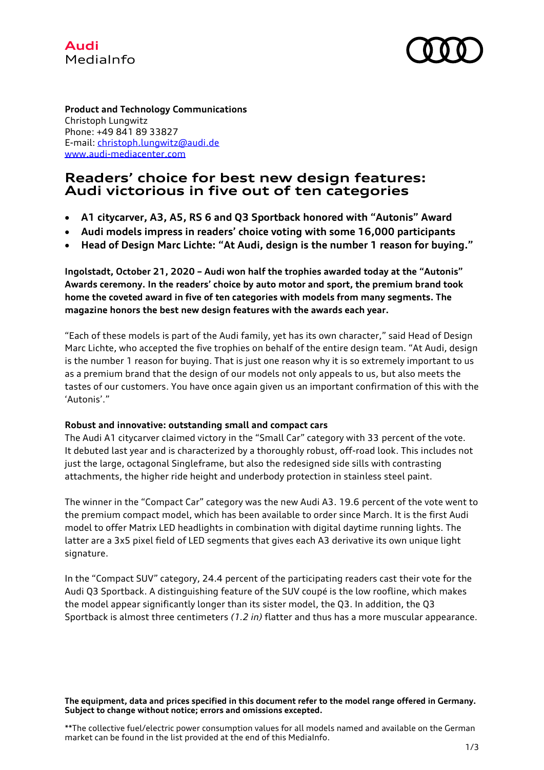



**Product and Technology Communications** Christoph Lungwitz Phone: +49 841 89 33827 E-mail: [christoph.lungwitz@audi.de](mailto:christoph.lungwitz@audi.de) www.audi-mediacenter.com

# **Readers' choice for best new design features: Audi victorious in five out of ten categories**

- **A1 citycarver, A3, A5, RS 6 and Q3 Sportback honored with "Autonis" Award**
- **Audi models impress in readers' choice voting with some 16,000 participants**
- **Head of Design Marc Lichte: "At Audi, design is the number 1 reason for buying."**

**Ingolstadt, October 21, 2020 – Audi won half the trophies awarded today at the "Autonis" Awards ceremony. In the readers' choice by auto motor and sport, the premium brand took home the coveted award in five of ten categories with models from many segments. The magazine honors the best new design features with the awards each year.**

"Each of these models is part of the Audi family, yet has its own character," said Head of Design Marc Lichte, who accepted the five trophies on behalf of the entire design team. "At Audi, design is the number 1 reason for buying. That is just one reason why it is so extremely important to us as a premium brand that the design of our models not only appeals to us, but also meets the tastes of our customers. You have once again given us an important confirmation of this with the 'Autonis'."

### **Robust and innovative: outstanding small and compact cars**

The Audi A1 citycarver claimed victory in the "Small Car" category with 33 percent of the vote. It debuted last year and is characterized by a thoroughly robust, off-road look. This includes not just the large, octagonal Singleframe, but also the redesigned side sills with contrasting attachments, the higher ride height and underbody protection in stainless steel paint.

The winner in the "Compact Car" category was the new Audi A3. 19.6 percent of the vote went to the premium compact model, which has been available to order since March. It is the first Audi model to offer Matrix LED headlights in combination with digital daytime running lights. The latter are a 3x5 pixel field of LED segments that gives each A3 derivative its own unique light signature.

In the "Compact SUV" category, 24.4 percent of the participating readers cast their vote for the Audi Q3 Sportback. A distinguishing feature of the SUV coupé is the low roofline, which makes the model appear significantly longer than its sister model, the Q3. In addition, the Q3 Sportback is almost three centimeters *(1.2 in)* flatter and thus has a more muscular appearance.

**The equipment, data and prices specified in this document refer to the model range offered in Germany. Subject to change without notice; errors and omissions excepted.**

\*\*The collective fuel/electric power consumption values for all models named and available on the German market can be found in the list provided at the end of this MediaInfo.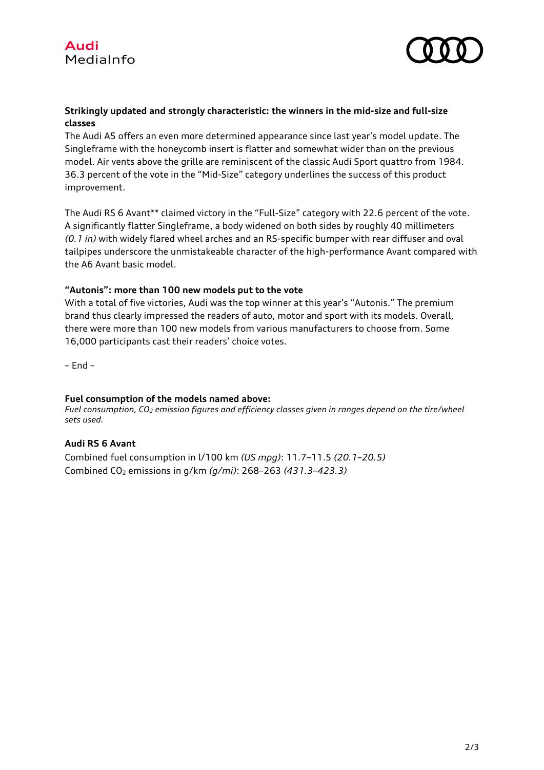



# **Strikingly updated and strongly characteristic: the winners in the mid-size and full-size classes**

The Audi A5 offers an even more determined appearance since last year's model update. The Singleframe with the honeycomb insert is flatter and somewhat wider than on the previous model. Air vents above the grille are reminiscent of the classic Audi Sport quattro from 1984. 36.3 percent of the vote in the "Mid-Size" category underlines the success of this product improvement.

The Audi RS 6 Avant\*\* claimed victory in the "Full-Size" category with 22.6 percent of the vote. A significantly flatter Singleframe, a body widened on both sides by roughly 40 millimeters *(0.1 in)* with widely flared wheel arches and an RS-specific bumper with rear diffuser and oval tailpipes underscore the unmistakeable character of the high-performance Avant compared with the A6 Avant basic model.

## **"Autonis": more than 100 new models put to the vote**

With a total of five victories, Audi was the top winner at this year's "Autonis." The premium brand thus clearly impressed the readers of auto, motor and sport with its models. Overall, there were more than 100 new models from various manufacturers to choose from. Some 16,000 participants cast their readers' choice votes.

– End –

### **Fuel consumption of the models named above:**

*Fuel consumption, CO<sup>2</sup> emission figures and efficiency classes given in ranges depend on the tire/wheel sets used.*

## **Audi RS 6 Avant**

Combined fuel consumption in l/100 km *(US mpg)*: 11.7–11.5 *(20.1–20.5)* Combined CO<sup>2</sup> emissions in g/km *(g/mi)*: 268–263 *(431.3–423.3)*